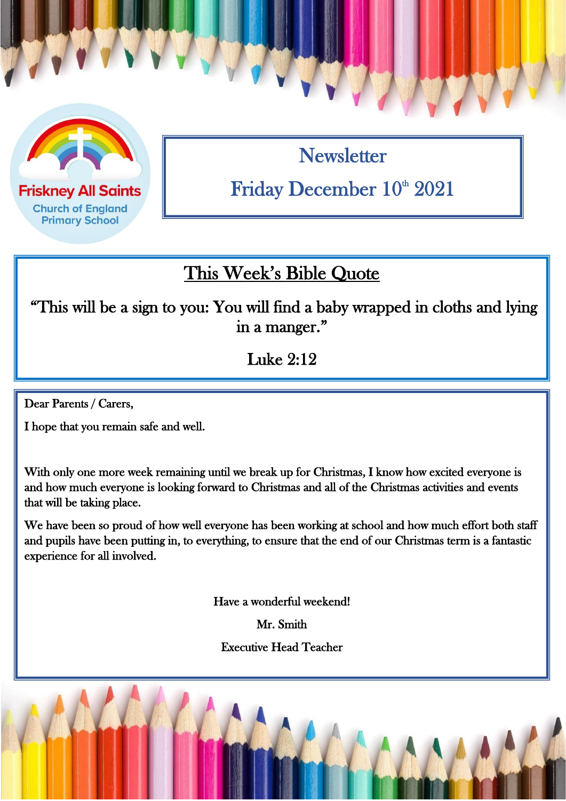

**Friskney All Saints Church of England Primary School** 

**Newsletter** Friday December 10<sup>th</sup> 2021

### This Week's Bible Quote

 "This will be a sign to you: You will find a baby wrapped in cloths and lying in a manger."

Luke 2:12

Dear Parents / Carers,

I hope that you remain safe and well.

With only one more week remaining until we break up for Christmas, I know how excited everyone is and how much everyone is looking forward to Christmas and all of the Christmas activities and events that will be taking place.

We have been so proud of how well everyone has been working at school and how much effort both staff and pupils have been putting in, to everything, to ensure that the end of our Christmas term is a fantastic experience for all involved.

Have a wonderful weekend!

Mr. Smith

Executive Head Teacher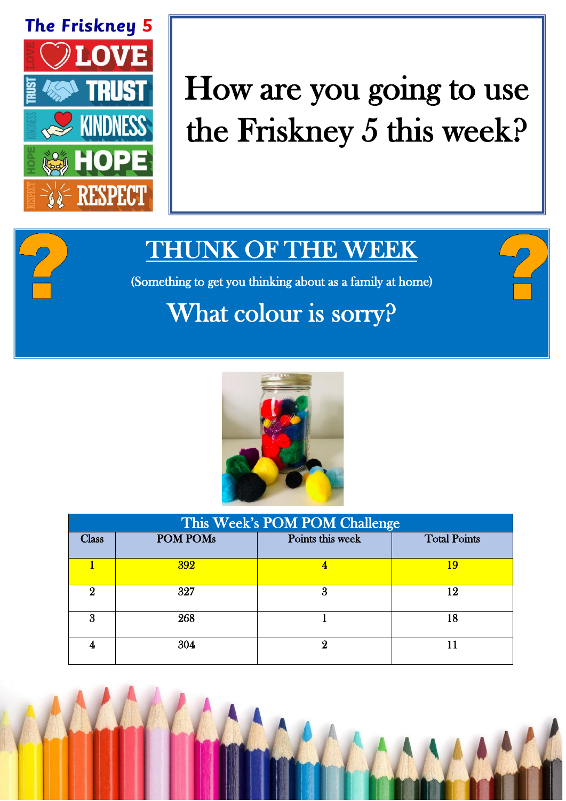

# How are you going to use the Friskney 5 this week?

## THUNK OF THE WEEK

(Something to get you thinking about as a family at home)

# What colour is sorry?



| This Week's POM POM Challenge |                 |                  |                     |  |
|-------------------------------|-----------------|------------------|---------------------|--|
| $\rm Class$                   | <b>POM POMs</b> | Points this week | <b>Total Points</b> |  |
|                               | <b>392</b>      |                  | 19                  |  |
| 9.                            | 327             | 3                | 12                  |  |
| 3                             | 268             |                  | 18                  |  |
|                               | 304             | 9                |                     |  |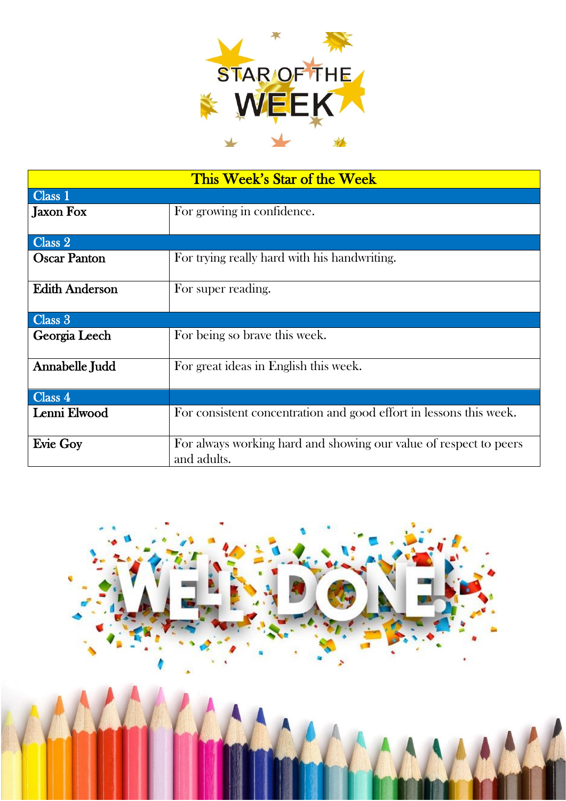

| This Week's Star of the Week |                                                                                  |  |  |
|------------------------------|----------------------------------------------------------------------------------|--|--|
| Class 1                      |                                                                                  |  |  |
| <b>Jaxon Fox</b>             | For growing in confidence.                                                       |  |  |
|                              |                                                                                  |  |  |
| Class 2                      |                                                                                  |  |  |
| <b>Oscar Panton</b>          | For trying really hard with his handwriting.                                     |  |  |
| <b>Edith Anderson</b>        | For super reading.                                                               |  |  |
| Class 3                      |                                                                                  |  |  |
| Georgia Leech                | For being so brave this week.                                                    |  |  |
| Annabelle Judd               | For great ideas in English this week.                                            |  |  |
| Class <sub>4</sub>           |                                                                                  |  |  |
| Lenni Elwood                 | For consistent concentration and good effort in lessons this week.               |  |  |
| <b>Evie Goy</b>              | For always working hard and showing our value of respect to peers<br>and adults. |  |  |

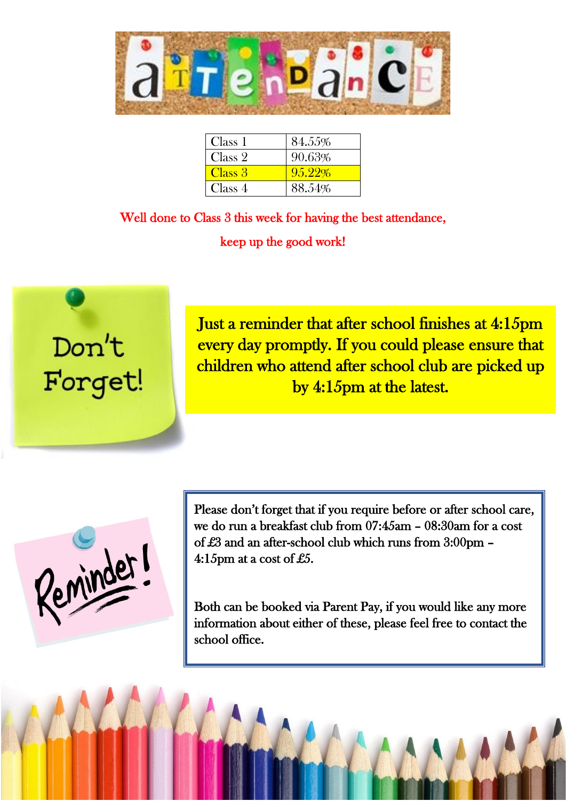

| Class 1 | 84.55% |
|---------|--------|
| Class 2 | 90.63% |
| Class 3 | 95.22% |
| Class 4 | 88.54% |

Well done to Class 3 this week for having the best attendance, keep up the good work!



Just a reminder that after school finishes at 4:15pm every day promptly. If you could please ensure that children who attend after school club are picked up by 4:15pm at the latest.

Reminder!

Please don't forget that if you require before or after school care, we do run a breakfast club from 07:45am – 08:30am for a cost of £3 and an after-school club which runs from 3:00pm – 4:15pm at a cost of £5.

Both can be booked via Parent Pay, if you would like any more information about either of these, please feel free to contact the school office.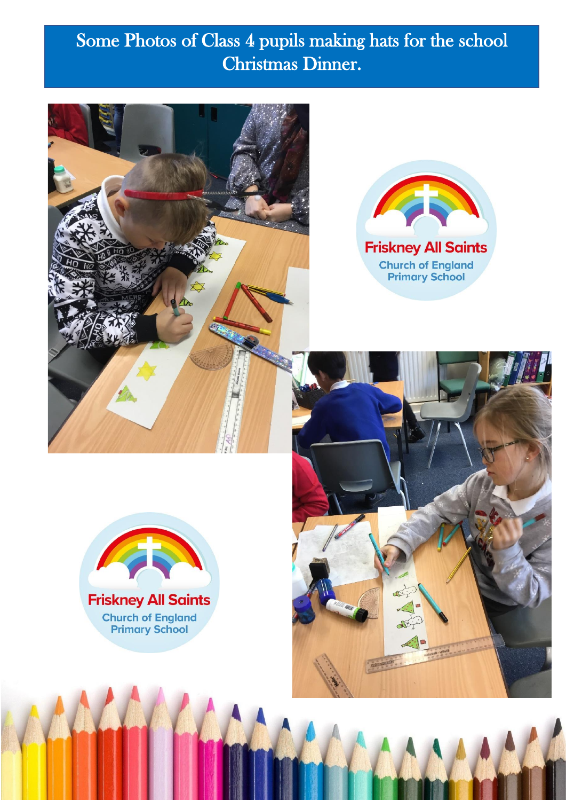### Some Photos of Class 4 pupils making hats for the school Christmas Dinner.







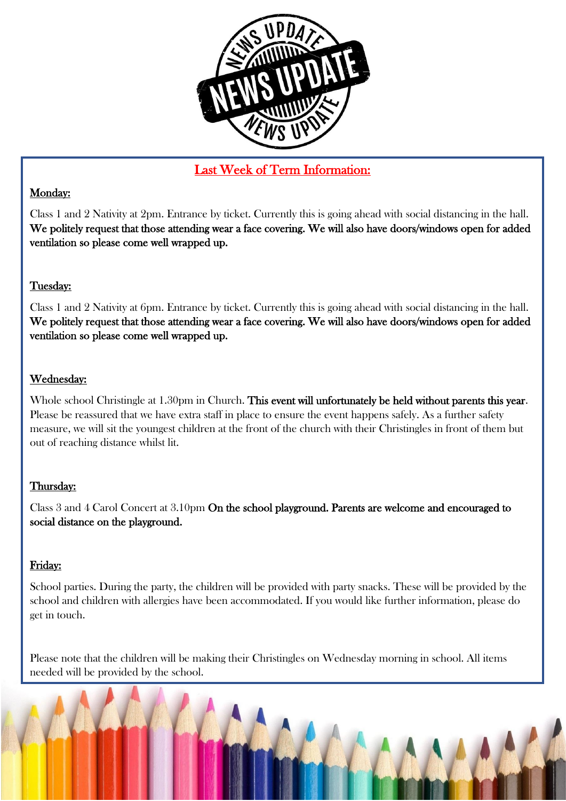

#### Last Week of Term Information:

#### Monday:

Class 1 and 2 Nativity at 2pm. Entrance by ticket. Currently this is going ahead with social distancing in the hall. We politely request that those attending wear a face covering. We will also have doors/windows open for added ventilation so please come well wrapped up.

#### Tuesday:

Class 1 and 2 Nativity at 6pm. Entrance by ticket. Currently this is going ahead with social distancing in the hall. We politely request that those attending wear a face covering. We will also have doors/windows open for added ventilation so please come well wrapped up.

#### Wednesday:

Whole school Christingle at 1.30pm in Church. This event will unfortunately be held without parents this year. Please be reassured that we have extra staff in place to ensure the event happens safely. As a further safety measure, we will sit the youngest children at the front of the church with their Christingles in front of them but out of reaching distance whilst lit.

#### Thursday:

Class 3 and 4 Carol Concert at 3.10pm On the school playground. Parents are welcome and encouraged to social distance on the playground.

#### Friday:

School parties. During the party, the children will be provided with party snacks. These will be provided by the school and children with allergies have been accommodated. If you would like further information, please do get in touch.

Please note that the children will be making their Christingles on Wednesday morning in school. All items needed will be provided by the school.